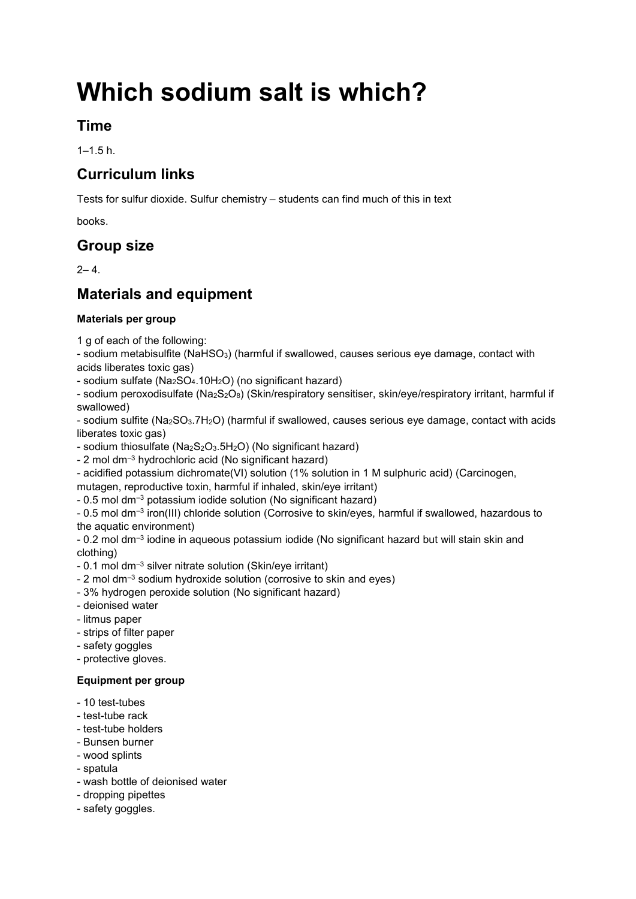# **Which sodium salt is which?**

## **Time**

 $1-1.5 h.$ 

## **Curriculum links**

Tests for sulfur dioxide. Sulfur chemistry – students can find much of this in text

books.

## **Group size**

 $2 - 4$ 

# **Materials and equipment**

#### **Materials per group**

1 g of each of the following:

- sodium metabisulfite (NaHSO3) (harmful if swallowed, causes serious eye damage, contact with acids liberates toxic gas)

- sodium sulfate (Na2SO4.10H2O) (no significant hazard)

- sodium peroxodisulfate (Na2S2O8) (Skin/respiratory sensitiser, skin/eye/respiratory irritant, harmful if swallowed)

- sodium sulfite (Na2SO3.7H2O) (harmful if swallowed, causes serious eye damage, contact with acids liberates toxic gas)

- sodium thiosulfate  $(Na<sub>2</sub>S<sub>2</sub>O<sub>3</sub>.5H<sub>2</sub>O)$  (No significant hazard)

- 2 mol dm–<sup>3</sup> hydrochloric acid (No significant hazard)

- acidified potassium dichromate(VI) solution (1% solution in 1 M sulphuric acid) (Carcinogen,

mutagen, reproductive toxin, harmful if inhaled, skin/eye irritant)

- 0.5 mol dm–<sup>3</sup> potassium iodide solution (No significant hazard)

- 0.5 mol dm<sup>-3</sup> iron(III) chloride solution (Corrosive to skin/eyes, harmful if swallowed, hazardous to the aquatic environment)

- 0.2 mol dm–<sup>3</sup> iodine in aqueous potassium iodide (No significant hazard but will stain skin and clothing)

- 0.1 mol dm–<sup>3</sup> silver nitrate solution (Skin/eye irritant)
- 2 mol dm–<sup>3</sup> sodium hydroxide solution (corrosive to skin and eyes)
- 3% hydrogen peroxide solution (No significant hazard)
- deionised water
- litmus paper
- strips of filter paper
- safety goggles
- protective gloves.

#### **Equipment per group**

- 10 test-tubes
- test-tube rack
- test-tube holders
- Bunsen burner
- wood splints
- spatula
- wash bottle of deionised water
- dropping pipettes
- safety goggles.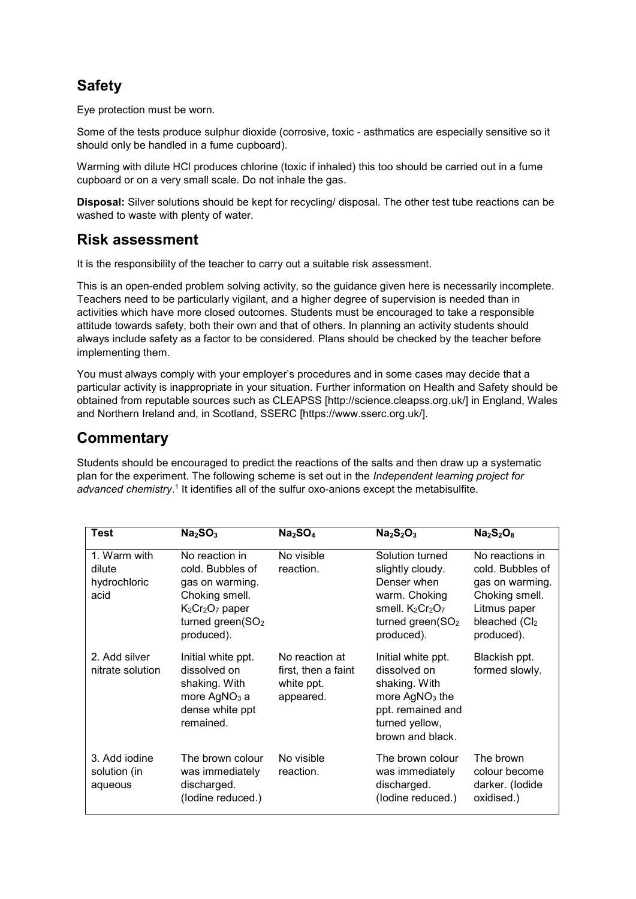# **Safety**

Eye protection must be worn.

Some of the tests produce sulphur dioxide (corrosive, toxic - asthmatics are especially sensitive so it should only be handled in a fume cupboard).

Warming with dilute HCl produces chlorine (toxic if inhaled) this too should be carried out in a fume cupboard or on a very small scale. Do not inhale the gas.

**Disposal:** Silver solutions should be kept for recycling/ disposal. The other test tube reactions can be washed to waste with plenty of water.

## **Risk assessment**

It is the responsibility of the teacher to carry out a suitable risk assessment.

This is an open-ended problem solving activity, so the guidance given here is necessarily incomplete. Teachers need to be particularly vigilant, and a higher degree of supervision is needed than in activities which have more closed outcomes. Students must be encouraged to take a responsible attitude towards safety, both their own and that of others. In planning an activity students should always include safety as a factor to be considered. Plans should be checked by the teacher before implementing them.

You must always comply with your employer's procedures and in some cases may decide that a particular activity is inappropriate in your situation. Further information on Health and Safety should be obtained from reputable sources such as CLEAPSS [http://science.cleapss.org.uk/] in England, Wales and Northern Ireland and, in Scotland, SSERC [https://www.sserc.org.uk/].

## **Commentary**

Students should be encouraged to predict the reactions of the salts and then draw up a systematic plan for the experiment. The following scheme is set out in the *Independent learning project for*  advanced chemistry.<sup>1</sup> It identifies all of the sulfur oxo-anions except the metabisulfite.

| <b>Test</b>                                    | Na <sub>2</sub> SO <sub>3</sub>                                                                                                                                      | Na <sub>2</sub> SO <sub>4</sub>                                  | $Na2S2O3$                                                                                                                                | $Na2S2O8$                                                                                                               |
|------------------------------------------------|----------------------------------------------------------------------------------------------------------------------------------------------------------------------|------------------------------------------------------------------|------------------------------------------------------------------------------------------------------------------------------------------|-------------------------------------------------------------------------------------------------------------------------|
| 1. Warm with<br>dilute<br>hydrochloric<br>acid | No reaction in<br>cold. Bubbles of<br>gas on warming.<br>Choking smell.<br>K <sub>2</sub> Cr <sub>2</sub> O <sub>7</sub> paper<br>turned green $(SO2)$<br>produced). | No visible<br>reaction.                                          | Solution turned<br>slightly cloudy.<br>Denser when<br>warm. Choking<br>smell. $K_2Cr_2O_7$<br>turned green(SO <sub>2</sub><br>produced). | No reactions in<br>cold. Bubbles of<br>gas on warming.<br>Choking smell.<br>Litmus paper<br>bleached (Cl2<br>produced). |
| 2. Add silver<br>nitrate solution              | Initial white ppt.<br>dissolved on<br>shaking. With<br>more AgNO <sub>3</sub> a<br>dense white ppt<br>remained.                                                      | No reaction at<br>first, then a faint<br>white ppt.<br>appeared. | Initial white ppt.<br>dissolved on<br>shaking. With<br>more $AgNO3$ the<br>ppt. remained and<br>turned yellow,<br>brown and black.       | Blackish ppt.<br>formed slowly.                                                                                         |
| 3. Add iodine<br>solution (in<br>aqueous       | The brown colour<br>was immediately<br>discharged.<br>(lodine reduced.)                                                                                              | No visible<br>reaction.                                          | The brown colour<br>was immediately<br>discharged.<br>(lodine reduced.)                                                                  | The brown<br>colour become<br>darker. (lodide<br>oxidised.)                                                             |